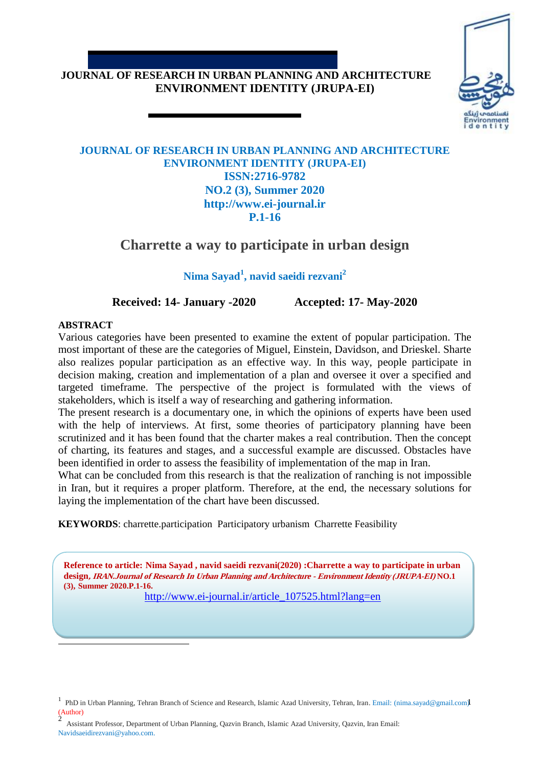# **JOURNAL OF RESEARCH IN URBAN PLANNING AND ARCHITECTURE ENVIRONMENT IDENTITY (JRUPA-EI)**



## **JOURNAL OF RESEARCH IN URBAN PLANNING AND ARCHITECTURE ENVIRONMENT IDENTITY (JRUPA-EI) ISSN:2716-9782 NO.2 (3), Summer 2020 http://www.ei-journal.ir P.1-16**

# **Charrette a way to participate in urban design**

**Nima Sayad<sup>1</sup> , navid saeidi rezvani<sup>2</sup>**

**Received: 14- January -2020 Accepted: 17- May-2020**

## **ABSTRACT**

 $\overline{a}$ 

Various categories have been presented to examine the extent of popular participation. The most important of these are the categories of Miguel, Einstein, Davidson, and Drieskel. Sharte also realizes popular participation as an effective way. In this way, people participate in decision making, creation and implementation of a plan and oversee it over a specified and targeted timeframe. The perspective of the project is formulated with the views of stakeholders, which is itself a way of researching and gathering information.

The present research is a documentary one, in which the opinions of experts have been used with the help of interviews. At first, some theories of participatory planning have been scrutinized and it has been found that the charter makes a real contribution. Then the concept of charting, its features and stages, and a successful example are discussed. Obstacles have been identified in order to assess the feasibility of implementation of the map in Iran.

What can be concluded from this research is that the realization of ranching is not impossible in Iran, but it requires a proper platform. Therefore, at the end, the necessary solutions for laying the implementation of the chart have been discussed.

**KEYWORDS**: charrette.participation Participatory urbanism Charrette Feasibility

**Reference to article: Nima Sayad , navid saeidi rezvani(2020) :Charrette a way to participate in urban design, IRAN.Journal of Research In Urban Planning and Architecture - Environment Identity (JRUPA-EI) NO.1 (3), Summer 2020.P.1-16.**

**1.INTRODUCTION** http://www.ei-journal.ir/article\_107525.html?lang=en

Assistant Professor, Department of Urban Planning, Qazvin Branch, Islamic Azad University, Qazvin, Iran Email: Navidsaeidirezvani@yahoo.com.

<sup>&</sup>lt;sup>1</sup> PhD in Urban Planning, Tehran Branch of Science and Research, Islamic Azad University, Tehran, Iran. Email: (nima.sayad@gmail.com) (Author) 2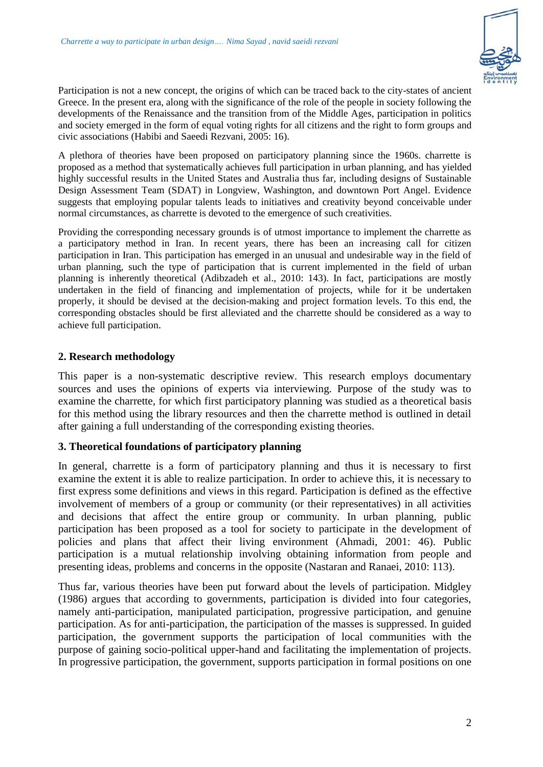

Participation is not a new concept, the origins of which can be traced back to the city-states of ancient Greece. In the present era, along with the significance of the role of the people in society following the developments of the Renaissance and the transition from of the Middle Ages, participation in politics and society emerged in the form of equal voting rights for all citizens and the right to form groups and civic associations (Habibi and Saeedi Rezvani, 2005: 16).

A plethora of theories have been proposed on participatory planning since the 1960s. charrette is proposed as a method that systematically achieves full participation in urban planning, and has yielded highly successful results in the United States and Australia thus far, including designs of Sustainable Design Assessment Team (SDAT) in Longview, Washington, and downtown Port Angel. Evidence suggests that employing popular talents leads to initiatives and creativity beyond conceivable under normal circumstances, as charrette is devoted to the emergence of such creativities.

Providing the corresponding necessary grounds is of utmost importance to implement the charrette as a participatory method in Iran. In recent years, there has been an increasing call for citizen participation in Iran. This participation has emerged in an unusual and undesirable way in the field of urban planning, such the type of participation that is current implemented in the field of urban planning is inherently theoretical (Adibzadeh et al., 2010: 143). In fact, participations are mostly undertaken in the field of financing and implementation of projects, while for it be undertaken properly, it should be devised at the decision-making and project formation levels. To this end, the corresponding obstacles should be first alleviated and the charrette should be considered as a way to achieve full participation.

## **2. Research methodology**

This paper is a non-systematic descriptive review. This research employs documentary sources and uses the opinions of experts via interviewing. Purpose of the study was to examine the charrette, for which first participatory planning was studied as a theoretical basis for this method using the library resources and then the charrette method is outlined in detail after gaining a full understanding of the corresponding existing theories.

#### **3. Theoretical foundations of participatory planning**

In general, charrette is a form of participatory planning and thus it is necessary to first examine the extent it is able to realize participation. In order to achieve this, it is necessary to first express some definitions and views in this regard. Participation is defined as the effective involvement of members of a group or community (or their representatives) in all activities and decisions that affect the entire group or community. In urban planning, public participation has been proposed as a tool for society to participate in the development of policies and plans that affect their living environment (Ahmadi, 2001: 46). Public participation is a mutual relationship involving obtaining information from people and presenting ideas, problems and concerns in the opposite (Nastaran and Ranaei, 2010: 113).

Thus far, various theories have been put forward about the levels of participation. Midgley (1986) argues that according to governments, participation is divided into four categories, namely anti-participation, manipulated participation, progressive participation, and genuine participation. As for anti-participation, the participation of the masses is suppressed. In guided participation, the government supports the participation of local communities with the purpose of gaining socio-political upper-hand and facilitating the implementation of projects. In progressive participation, the government, supports participation in formal positions on one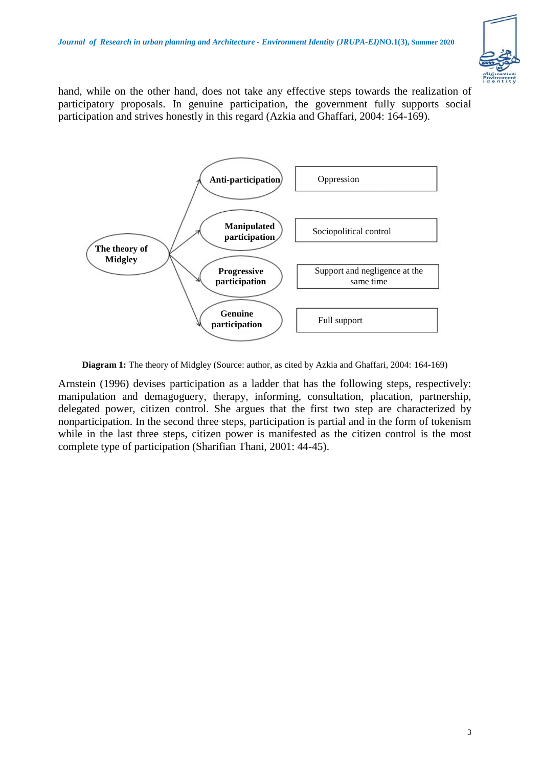

hand, while on the other hand, does not take any effective steps towards the realization of participatory proposals. In genuine participation, the government fully supports social participation and strives honestly in this regard (Azkia and Ghaffari, 2004: 164-169).



**Diagram 1:** The theory of Midgley (Source: author, as cited by Azkia and Ghaffari, 2004: 164-169)

Arnstein (1996) devises participation as a ladder that has the following steps, respectively: manipulation and demagoguery, therapy, informing, consultation, placation, partnership, delegated power, citizen control. She argues that the first two step are characterized by nonparticipation. In the second three steps, participation is partial and in the form of tokenism while in the last three steps, citizen power is manifested as the citizen control is the most complete type of participation (Sharifian Thani, 2001: 44-45).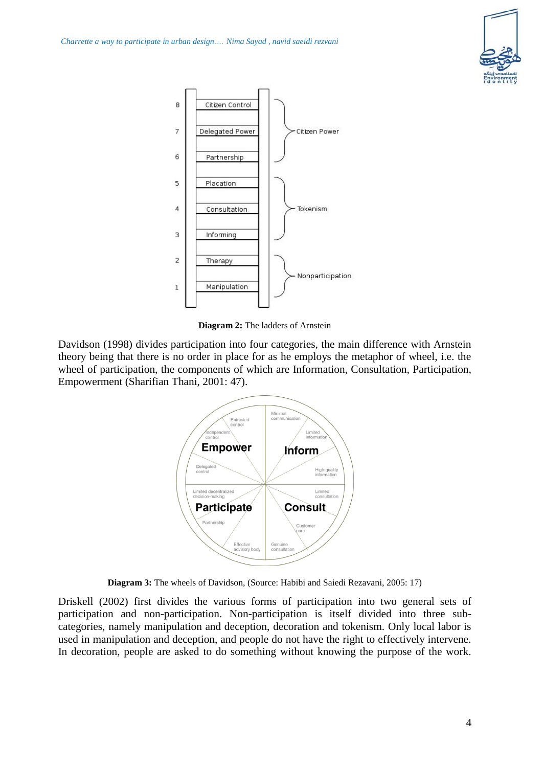



**Diagram 2:** The ladders of Arnstein

Davidson (1998) divides participation into four categories, the main difference with Arnstein theory being that there is no order in place for as he employs the metaphor of wheel, i.e. the wheel of participation, the components of which are Information, Consultation, Participation, Empowerment (Sharifian Thani, 2001: 47).



**Diagram 3:** The wheels of Davidson, (Source: Habibi and Saiedi Rezavani, 2005: 17)

Driskell (2002) first divides the various forms of participation into two general sets of participation and non-participation. Non-participation is itself divided into three subcategories, namely manipulation and deception, decoration and tokenism. Only local labor is used in manipulation and deception, and people do not have the right to effectively intervene. In decoration, people are asked to do something without knowing the purpose of the work.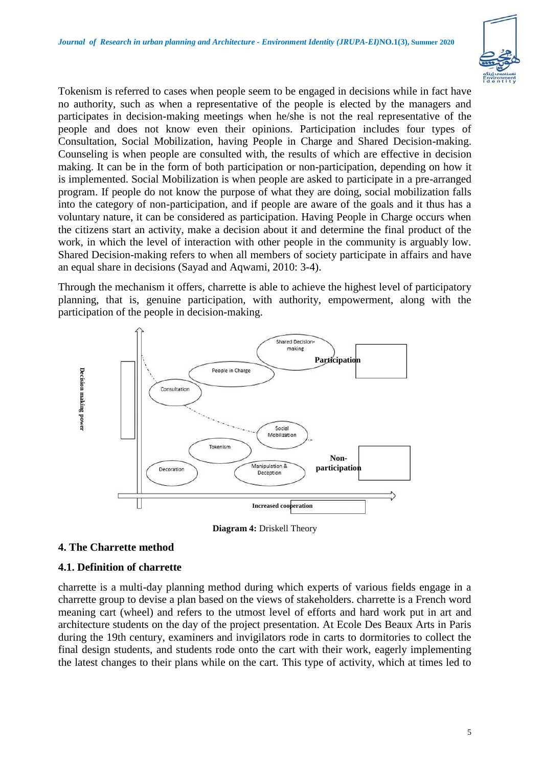

Tokenism is referred to cases when people seem to be engaged in decisions while in fact have no authority, such as when a representative of the people is elected by the managers and participates in decision-making meetings when he/she is not the real representative of the people and does not know even their opinions. Participation includes four types of Consultation, Social Mobilization, having People in Charge and Shared Decision-making. Counseling is when people are consulted with, the results of which are effective in decision making. It can be in the form of both participation or non-participation, depending on how it is implemented. Social Mobilization is when people are asked to participate in a pre-arranged program. If people do not know the purpose of what they are doing, social mobilization falls into the category of non-participation, and if people are aware of the goals and it thus has a voluntary nature, it can be considered as participation. Having People in Charge occurs when the citizens start an activity, make a decision about it and determine the final product of the work, in which the level of interaction with other people in the community is arguably low. Shared Decision-making refers to when all members of society participate in affairs and have an equal share in decisions (Sayad and Aqwami, 2010: 3-4).

Through the mechanism it offers, charrette is able to achieve the highest level of participatory planning, that is, genuine participation, with authority, empowerment, along with the participation of the people in decision-making.



**Diagram 4:** Driskell Theory

## **4. The Charrette method**

## **4.1. Definition of charrette**

charrette is a multi-day planning method during which experts of various fields engage in a charrette group to devise a plan based on the views of stakeholders. charrette is a French word meaning cart (wheel) and refers to the utmost level of efforts and hard work put in art and architecture students on the day of the project presentation. At Ecole Des Beaux Arts in Paris during the 19th century, examiners and invigilators rode in carts to dormitories to collect the final design students, and students rode onto the cart with their work, eagerly implementing the latest changes to their plans while on the cart. This type of activity, which at times led to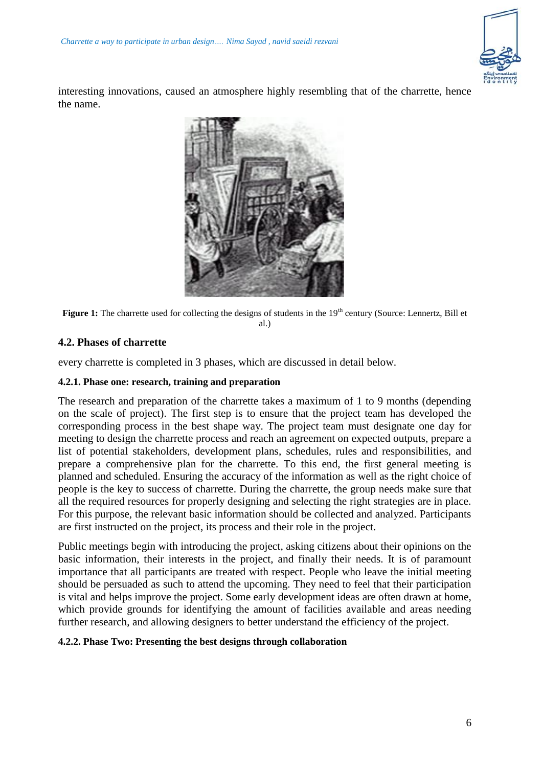

interesting innovations, caused an atmosphere highly resembling that of the charrette, hence the name.



Figure 1: The charrette used for collecting the designs of students in the 19<sup>th</sup> century (Source: Lennertz, Bill et al.)

## **4.2. Phases of charrette**

every charrette is completed in 3 phases, which are discussed in detail below.

#### **4.2.1. Phase one: research, training and preparation**

The research and preparation of the charrette takes a maximum of 1 to 9 months (depending on the scale of project). The first step is to ensure that the project team has developed the corresponding process in the best shape way. The project team must designate one day for meeting to design the charrette process and reach an agreement on expected outputs, prepare a list of potential stakeholders, development plans, schedules, rules and responsibilities, and prepare a comprehensive plan for the charrette. To this end, the first general meeting is planned and scheduled. Ensuring the accuracy of the information as well as the right choice of people is the key to success of charrette. During the charrette, the group needs make sure that all the required resources for properly designing and selecting the right strategies are in place. For this purpose, the relevant basic information should be collected and analyzed. Participants are first instructed on the project, its process and their role in the project.

Public meetings begin with introducing the project, asking citizens about their opinions on the basic information, their interests in the project, and finally their needs. It is of paramount importance that all participants are treated with respect. People who leave the initial meeting should be persuaded as such to attend the upcoming. They need to feel that their participation is vital and helps improve the project. Some early development ideas are often drawn at home, which provide grounds for identifying the amount of facilities available and areas needing further research, and allowing designers to better understand the efficiency of the project.

#### **4.2.2. Phase Two: Presenting the best designs through collaboration**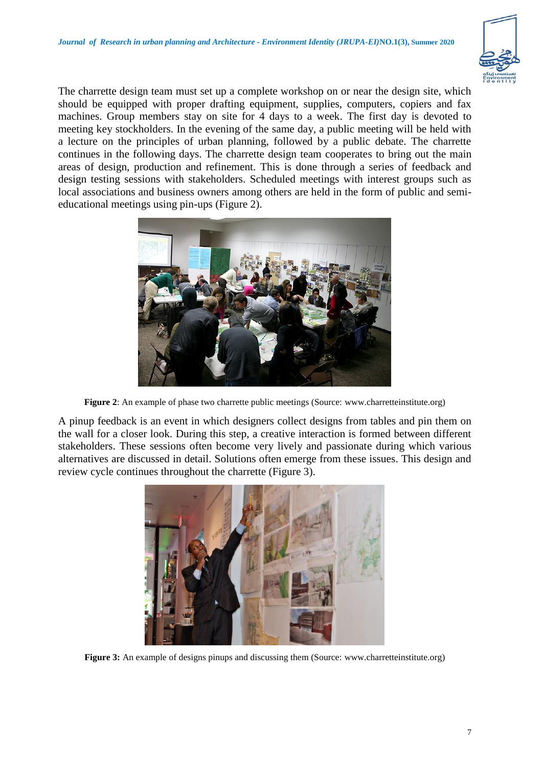

The charrette design team must set up a complete workshop on or near the design site, which should be equipped with proper drafting equipment, supplies, computers, copiers and fax machines. Group members stay on site for 4 days to a week. The first day is devoted to meeting key stockholders. In the evening of the same day, a public meeting will be held with a lecture on the principles of urban planning, followed by a public debate. The charrette continues in the following days. The charrette design team cooperates to bring out the main areas of design, production and refinement. This is done through a series of feedback and design testing sessions with stakeholders. Scheduled meetings with interest groups such as local associations and business owners among others are held in the form of public and semieducational meetings using pin-ups (Figure 2).



**Figure 2**: An example of phase two charrette public meetings (Source: [www.charretteinstitute.org\)](http://www.charretteinstitute.org/)

A pinup feedback is an event in which designers collect designs from tables and pin them on the wall for a closer look. During this step, a creative interaction is formed between different stakeholders. These sessions often become very lively and passionate during which various alternatives are discussed in detail. Solutions often emerge from these issues. This design and review cycle continues throughout the charrette (Figure 3).



**Figure 3:** An example of designs pinups and discussing them (Source: [www.charretteinstitute.org\)](http://www.charretteinstitute.org/)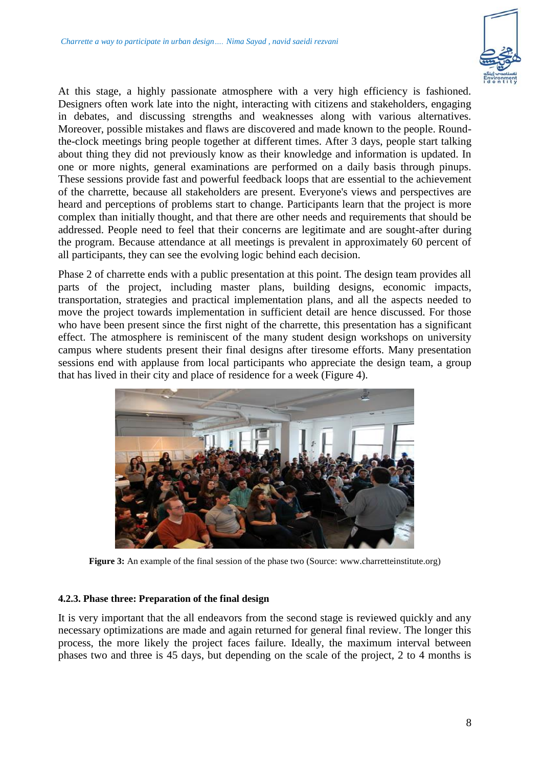

At this stage, a highly passionate atmosphere with a very high efficiency is fashioned. Designers often work late into the night, interacting with citizens and stakeholders, engaging in debates, and discussing strengths and weaknesses along with various alternatives. Moreover, possible mistakes and flaws are discovered and made known to the people. Roundthe-clock meetings bring people together at different times. After 3 days, people start talking about thing they did not previously know as their knowledge and information is updated. In one or more nights, general examinations are performed on a daily basis through pinups. These sessions provide fast and powerful feedback loops that are essential to the achievement of the charrette, because all stakeholders are present. Everyone's views and perspectives are heard and perceptions of problems start to change. Participants learn that the project is more complex than initially thought, and that there are other needs and requirements that should be addressed. People need to feel that their concerns are legitimate and are sought-after during the program. Because attendance at all meetings is prevalent in approximately 60 percent of all participants, they can see the evolving logic behind each decision.

Phase 2 of charrette ends with a public presentation at this point. The design team provides all parts of the project, including master plans, building designs, economic impacts, transportation, strategies and practical implementation plans, and all the aspects needed to move the project towards implementation in sufficient detail are hence discussed. For those who have been present since the first night of the charrette, this presentation has a significant effect. The atmosphere is reminiscent of the many student design workshops on university campus where students present their final designs after tiresome efforts. Many presentation sessions end with applause from local participants who appreciate the design team, a group that has lived in their city and place of residence for a week (Figure 4).



**Figure 3:** An example of the final session of the phase two (Source: [www.charretteinstitute.org\)](http://www.charretteinstitute.org/)

#### **4.2.3. Phase three: Preparation of the final design**

It is very important that the all endeavors from the second stage is reviewed quickly and any necessary optimizations are made and again returned for general final review. The longer this process, the more likely the project faces failure. Ideally, the maximum interval between phases two and three is 45 days, but depending on the scale of the project, 2 to 4 months is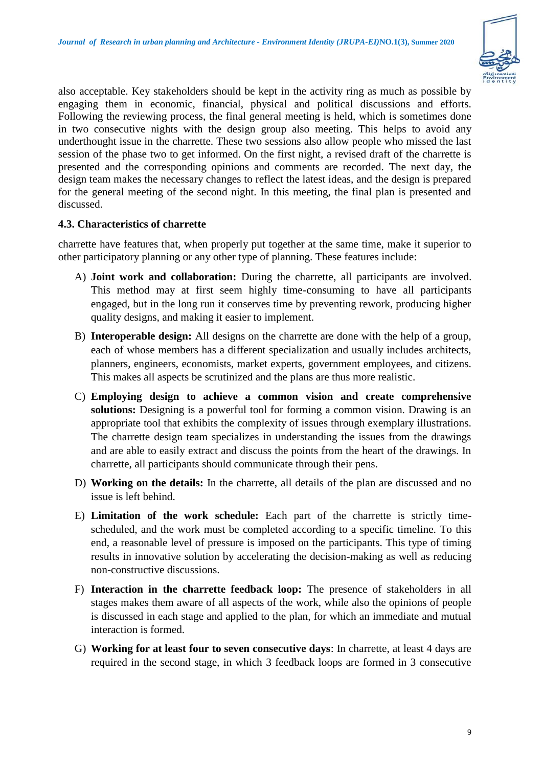

also acceptable. Key stakeholders should be kept in the activity ring as much as possible by engaging them in economic, financial, physical and political discussions and efforts. Following the reviewing process, the final general meeting is held, which is sometimes done in two consecutive nights with the design group also meeting. This helps to avoid any underthought issue in the charrette. These two sessions also allow people who missed the last session of the phase two to get informed. On the first night, a revised draft of the charrette is presented and the corresponding opinions and comments are recorded. The next day, the design team makes the necessary changes to reflect the latest ideas, and the design is prepared for the general meeting of the second night. In this meeting, the final plan is presented and discussed.

## **4.3. Characteristics of charrette**

charrette have features that, when properly put together at the same time, make it superior to other participatory planning or any other type of planning. These features include:

- A) **Joint work and collaboration:** During the charrette, all participants are involved. This method may at first seem highly time-consuming to have all participants engaged, but in the long run it conserves time by preventing rework, producing higher quality designs, and making it easier to implement.
- B) **Interoperable design:** All designs on the charrette are done with the help of a group, each of whose members has a different specialization and usually includes architects, planners, engineers, economists, market experts, government employees, and citizens. This makes all aspects be scrutinized and the plans are thus more realistic.
- C) **Employing design to achieve a common vision and create comprehensive solutions:** Designing is a powerful tool for forming a common vision. Drawing is an appropriate tool that exhibits the complexity of issues through exemplary illustrations. The charrette design team specializes in understanding the issues from the drawings and are able to easily extract and discuss the points from the heart of the drawings. In charrette, all participants should communicate through their pens.
- D) **Working on the details:** In the charrette, all details of the plan are discussed and no issue is left behind.
- E) **Limitation of the work schedule:** Each part of the charrette is strictly timescheduled, and the work must be completed according to a specific timeline. To this end, a reasonable level of pressure is imposed on the participants. This type of timing results in innovative solution by accelerating the decision-making as well as reducing non-constructive discussions.
- F) **Interaction in the charrette feedback loop:** The presence of stakeholders in all stages makes them aware of all aspects of the work, while also the opinions of people is discussed in each stage and applied to the plan, for which an immediate and mutual interaction is formed.
- G) **Working for at least four to seven consecutive days**: In charrette, at least 4 days are required in the second stage, in which 3 feedback loops are formed in 3 consecutive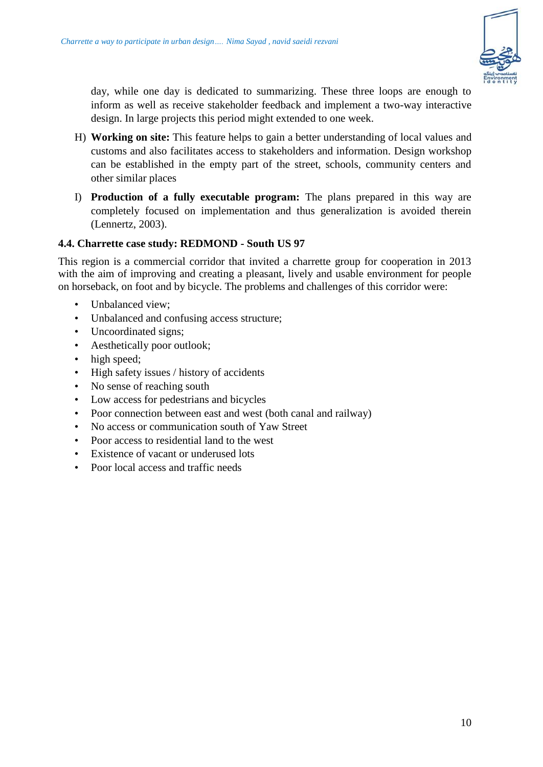

day, while one day is dedicated to summarizing. These three loops are enough to inform as well as receive stakeholder feedback and implement a two-way interactive design. In large projects this period might extended to one week.

- H) **Working on site:** This feature helps to gain a better understanding of local values and customs and also facilitates access to stakeholders and information. Design workshop can be established in the empty part of the street, schools, community centers and other similar places
- I) **Production of a fully executable program:** The plans prepared in this way are completely focused on implementation and thus generalization is avoided therein (Lennertz, 2003).

## **4.4. Charrette case study: REDMOND - South US 97**

This region is a commercial corridor that invited a charrette group for cooperation in 2013 with the aim of improving and creating a pleasant, lively and usable environment for people on horseback, on foot and by bicycle. The problems and challenges of this corridor were:

- Unbalanced view;
- Unbalanced and confusing access structure;
- Uncoordinated signs;
- Aesthetically poor outlook;
- high speed;
- High safety issues / history of accidents
- No sense of reaching south
- Low access for pedestrians and bicycles
- Poor connection between east and west (both canal and railway)
- No access or communication south of Yaw Street
- Poor access to residential land to the west
- Existence of vacant or underused lots
- Poor local access and traffic needs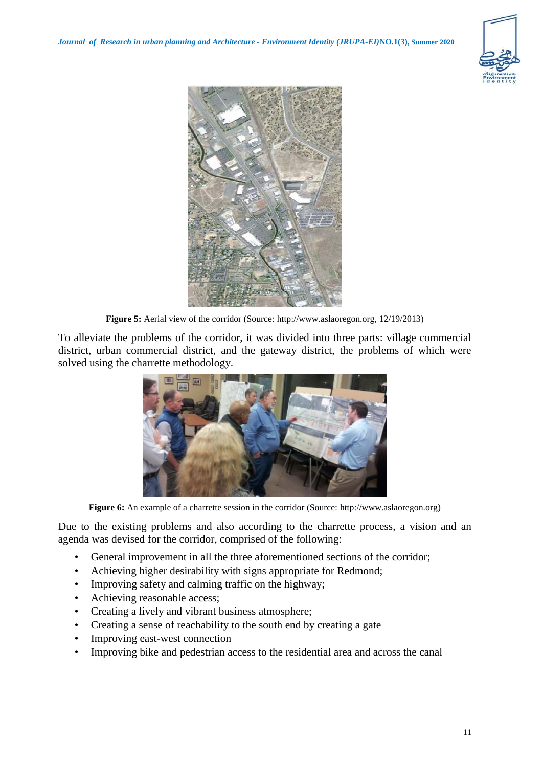



**Figure 5:** Aerial view of the corridor (Source: [http://www.aslaoregon.org,](http://www.aslaoregon.org/) 12/19/2013)

To alleviate the problems of the corridor, it was divided into three parts: village commercial district, urban commercial district, and the gateway district, the problems of which were solved using the charrette methodology.



**Figure 6:** An example of a charrette session in the corridor (Source: [http://www.aslaoregon.org\)](http://www.aslaoregon.org/)

Due to the existing problems and also according to the charrette process, a vision and an agenda was devised for the corridor, comprised of the following:

- General improvement in all the three aforementioned sections of the corridor;
- Achieving higher desirability with signs appropriate for Redmond;
- Improving safety and calming traffic on the highway;
- Achieving reasonable access;
- Creating a lively and vibrant business atmosphere;
- Creating a sense of reachability to the south end by creating a gate
- Improving east-west connection
- Improving bike and pedestrian access to the residential area and across the canal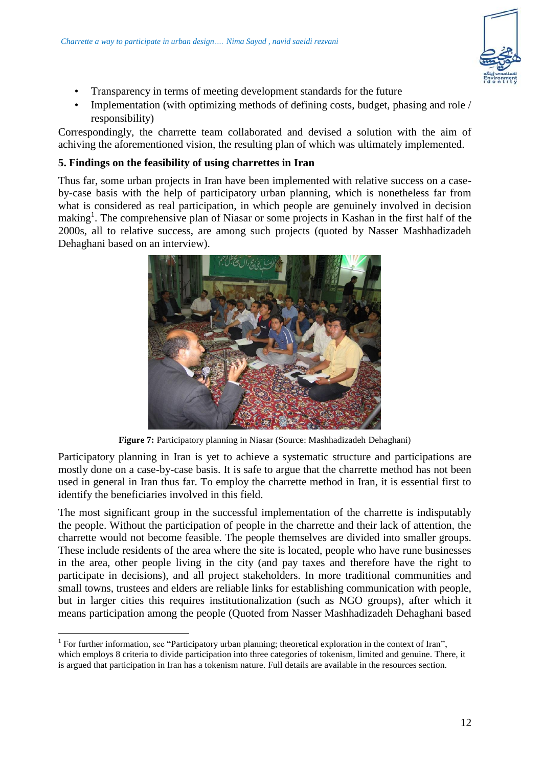

- Transparency in terms of meeting development standards for the future
- Implementation (with optimizing methods of defining costs, budget, phasing and role / responsibility)

Correspondingly, the charrette team collaborated and devised a solution with the aim of achiving the aforementioned vision, the resulting plan of which was ultimately implemented.

## **5. Findings on the feasibility of using charrettes in Iran**

Thus far, some urban projects in Iran have been implemented with relative success on a caseby-case basis with the help of participatory urban planning, which is nonetheless far from what is considered as real participation, in which people are genuinely involved in decision making<sup>1</sup>. The comprehensive plan of Niasar or some projects in Kashan in the first half of the 2000s, all to relative success, are among such projects (quoted by Nasser Mashhadizadeh Dehaghani based on an interview).



**Figure 7:** Participatory planning in Niasar (Source: Mashhadizadeh Dehaghani)

Participatory planning in Iran is yet to achieve a systematic structure and participations are mostly done on a case-by-case basis. It is safe to argue that the charrette method has not been used in general in Iran thus far. To employ the charrette method in Iran, it is essential first to identify the beneficiaries involved in this field.

The most significant group in the successful implementation of the charrette is indisputably the people. Without the participation of people in the charrette and their lack of attention, the charrette would not become feasible. The people themselves are divided into smaller groups. These include residents of the area where the site is located, people who have rune businesses in the area, other people living in the city (and pay taxes and therefore have the right to participate in decisions), and all project stakeholders. In more traditional communities and small towns, trustees and elders are reliable links for establishing communication with people, but in larger cities this requires institutionalization (such as NGO groups), after which it means participation among the people (Quoted from Nasser Mashhadizadeh Dehaghani based

 $\overline{a}$ 

<sup>&</sup>lt;sup>1</sup> For further information, see "Participatory urban planning; theoretical exploration in the context of Iran", which employs 8 criteria to divide participation into three categories of tokenism, limited and genuine. There, it is argued that participation in Iran has a tokenism nature. Full details are available in the resources section.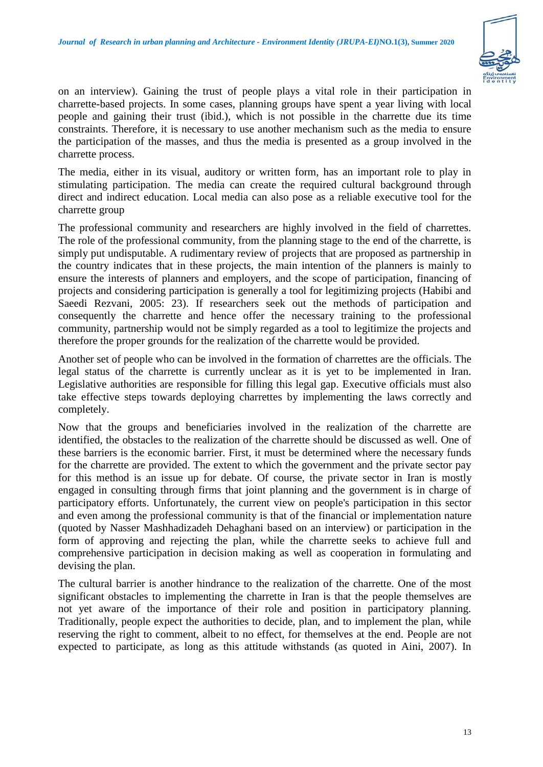

on an interview). Gaining the trust of people plays a vital role in their participation in charrette-based projects. In some cases, planning groups have spent a year living with local people and gaining their trust (ibid.), which is not possible in the charrette due its time constraints. Therefore, it is necessary to use another mechanism such as the media to ensure the participation of the masses, and thus the media is presented as a group involved in the charrette process.

The media, either in its visual, auditory or written form, has an important role to play in stimulating participation. The media can create the required cultural background through direct and indirect education. Local media can also pose as a reliable executive tool for the charrette group

The professional community and researchers are highly involved in the field of charrettes. The role of the professional community, from the planning stage to the end of the charrette, is simply put undisputable. A rudimentary review of projects that are proposed as partnership in the country indicates that in these projects, the main intention of the planners is mainly to ensure the interests of planners and employers, and the scope of participation, financing of projects and considering participation is generally a tool for legitimizing projects (Habibi and Saeedi Rezvani, 2005: 23). If researchers seek out the methods of participation and consequently the charrette and hence offer the necessary training to the professional community, partnership would not be simply regarded as a tool to legitimize the projects and therefore the proper grounds for the realization of the charrette would be provided.

Another set of people who can be involved in the formation of charrettes are the officials. The legal status of the charrette is currently unclear as it is yet to be implemented in Iran. Legislative authorities are responsible for filling this legal gap. Executive officials must also take effective steps towards deploying charrettes by implementing the laws correctly and completely.

Now that the groups and beneficiaries involved in the realization of the charrette are identified, the obstacles to the realization of the charrette should be discussed as well. One of these barriers is the economic barrier. First, it must be determined where the necessary funds for the charrette are provided. The extent to which the government and the private sector pay for this method is an issue up for debate. Of course, the private sector in Iran is mostly engaged in consulting through firms that joint planning and the government is in charge of participatory efforts. Unfortunately, the current view on people's participation in this sector and even among the professional community is that of the financial or implementation nature (quoted by Nasser Mashhadizadeh Dehaghani based on an interview) or participation in the form of approving and rejecting the plan, while the charrette seeks to achieve full and comprehensive participation in decision making as well as cooperation in formulating and devising the plan.

The cultural barrier is another hindrance to the realization of the charrette. One of the most significant obstacles to implementing the charrette in Iran is that the people themselves are not yet aware of the importance of their role and position in participatory planning. Traditionally, people expect the authorities to decide, plan, and to implement the plan, while reserving the right to comment, albeit to no effect, for themselves at the end. People are not expected to participate, as long as this attitude withstands (as quoted in Aini, 2007). In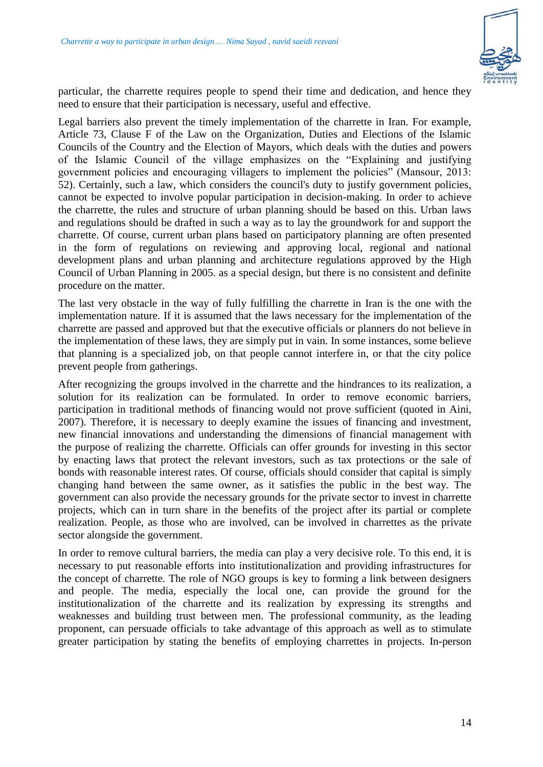

particular, the charrette requires people to spend their time and dedication, and hence they need to ensure that their participation is necessary, useful and effective.

Legal barriers also prevent the timely implementation of the charrette in Iran. For example, Article 73, Clause F of the Law on the Organization, Duties and Elections of the Islamic Councils of the Country and the Election of Mayors, which deals with the duties and powers of the Islamic Council of the village emphasizes on the "Explaining and justifying government policies and encouraging villagers to implement the policies" (Mansour, 2013: 52). Certainly, such a law, which considers the council's duty to justify government policies, cannot be expected to involve popular participation in decision-making. In order to achieve the charrette, the rules and structure of urban planning should be based on this. Urban laws and regulations should be drafted in such a way as to lay the groundwork for and support the charrette. Of course, current urban plans based on participatory planning are often presented in the form of regulations on reviewing and approving local, regional and national development plans and urban planning and architecture regulations approved by the High Council of Urban Planning in 2005. as a special design, but there is no consistent and definite procedure on the matter.

The last very obstacle in the way of fully fulfilling the charrette in Iran is the one with the implementation nature. If it is assumed that the laws necessary for the implementation of the charrette are passed and approved but that the executive officials or planners do not believe in the implementation of these laws, they are simply put in vain. In some instances, some believe that planning is a specialized job, on that people cannot interfere in, or that the city police prevent people from gatherings.

After recognizing the groups involved in the charrette and the hindrances to its realization, a solution for its realization can be formulated. In order to remove economic barriers, participation in traditional methods of financing would not prove sufficient (quoted in Aini, 2007). Therefore, it is necessary to deeply examine the issues of financing and investment, new financial innovations and understanding the dimensions of financial management with the purpose of realizing the charrette. Officials can offer grounds for investing in this sector by enacting laws that protect the relevant investors, such as tax protections or the sale of bonds with reasonable interest rates. Of course, officials should consider that capital is simply changing hand between the same owner, as it satisfies the public in the best way. The government can also provide the necessary grounds for the private sector to invest in charrette projects, which can in turn share in the benefits of the project after its partial or complete realization. People, as those who are involved, can be involved in charrettes as the private sector alongside the government.

In order to remove cultural barriers, the media can play a very decisive role. To this end, it is necessary to put reasonable efforts into institutionalization and providing infrastructures for the concept of charrette. The role of NGO groups is key to forming a link between designers and people. The media, especially the local one, can provide the ground for the institutionalization of the charrette and its realization by expressing its strengths and weaknesses and building trust between men. The professional community, as the leading proponent, can persuade officials to take advantage of this approach as well as to stimulate greater participation by stating the benefits of employing charrettes in projects. In-person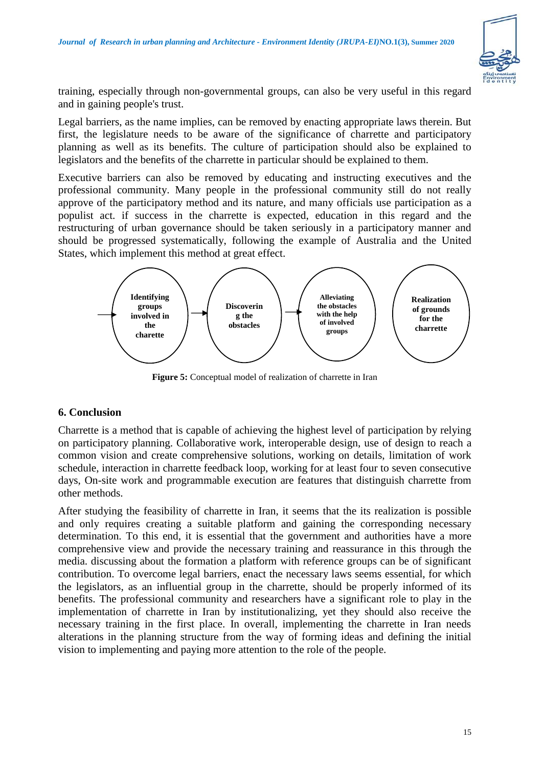

training, especially through non-governmental groups, can also be very useful in this regard and in gaining people's trust.

Legal barriers, as the name implies, can be removed by enacting appropriate laws therein. But first, the legislature needs to be aware of the significance of charrette and participatory planning as well as its benefits. The culture of participation should also be explained to legislators and the benefits of the charrette in particular should be explained to them.

Executive barriers can also be removed by educating and instructing executives and the professional community. Many people in the professional community still do not really approve of the participatory method and its nature, and many officials use participation as a populist act. if success in the charrette is expected, education in this regard and the restructuring of urban governance should be taken seriously in a participatory manner and should be progressed systematically, following the example of Australia and the United States, which implement this method at great effect.



**Figure 5:** Conceptual model of realization of charrette in Iran

## **6. Conclusion**

Charrette is a method that is capable of achieving the highest level of participation by relying on participatory planning. Collaborative work, interoperable design, use of design to reach a common vision and create comprehensive solutions, working on details, limitation of work schedule, interaction in charrette feedback loop, working for at least four to seven consecutive days, On-site work and programmable execution are features that distinguish charrette from other methods.

After studying the feasibility of charrette in Iran, it seems that the its realization is possible and only requires creating a suitable platform and gaining the corresponding necessary determination. To this end, it is essential that the government and authorities have a more comprehensive view and provide the necessary training and reassurance in this through the media. discussing about the formation a platform with reference groups can be of significant contribution. To overcome legal barriers, enact the necessary laws seems essential, for which the legislators, as an influential group in the charrette, should be properly informed of its benefits. The professional community and researchers have a significant role to play in the implementation of charrette in Iran by institutionalizing, yet they should also receive the necessary training in the first place. In overall, implementing the charrette in Iran needs alterations in the planning structure from the way of forming ideas and defining the initial vision to implementing and paying more attention to the role of the people.